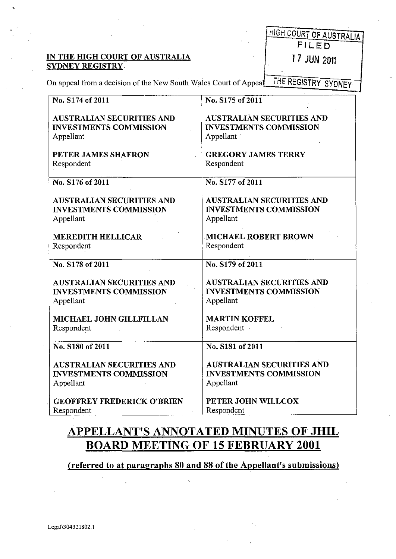# IN THE HIGH COURT OF AUSTRALIA 17 JUN 2011

|       |  |  | <b>HIGH COURT OF AUSTRALIA</b> |
|-------|--|--|--------------------------------|
| FILED |  |  |                                |

On appeal from a decision of the New South Wales Court of Appeal THE REGISTRY SYDNEY

| No. S174 of 2011                  | No. S175 of 2011                 |
|-----------------------------------|----------------------------------|
| <b>AUSTRALIAN SECURITIES AND</b>  | <b>AUSTRALIAN SECURITIES AND</b> |
| <b>INVESTMENTS COMMISSION</b>     | <b>INVESTMENTS COMMISSION</b>    |
| Appellant                         | Appellant                        |
|                                   |                                  |
| PETER JAMES SHAFRON               | <b>GREGORY JAMES TERRY</b>       |
| Respondent                        | Respondent                       |
|                                   |                                  |
| No. S176 of 2011                  | No. S177 of 2011                 |
|                                   |                                  |
| <b>AUSTRALIAN SECURITIES AND</b>  | <b>AUSTRALIAN SECURITIES AND</b> |
| <b>INVESTMENTS COMMISSION</b>     | <b>INVESTMENTS COMMISSION</b>    |
| Appellant                         | Appellant                        |
|                                   |                                  |
| <b>MEREDITH HELLICAR</b>          | <b>MICHAEL ROBERT BROWN</b>      |
| Respondent                        | Respondent                       |
|                                   |                                  |
| No. S178 of 2011                  | No. S179 of 2011                 |
|                                   |                                  |
| <b>AUSTRALIAN SECURITIES AND</b>  | <b>AUSTRALIAN SECURITIES AND</b> |
| <b>INVESTMENTS COMMISSION</b>     | <b>INVESTMENTS COMMISSION</b>    |
| Appellant                         | Appellant                        |
|                                   |                                  |
| MICHAEL JOHN GILLFILLAN           | <b>MARTIN KOFFEL</b>             |
| Respondent                        | Respondent ·                     |
|                                   |                                  |
| No. S180 of 2011                  | No. S181 of 2011                 |
|                                   |                                  |
| <b>AUSTRALIAN SECURITIES AND</b>  | <b>AUSTRALIAN SECURITIES AND</b> |
| <b>INVESTMENTS COMMISSION</b>     | <b>INVESTMENTS COMMISSION</b>    |
| Appellant                         | Appellant                        |
|                                   |                                  |
| <b>GEOFFREY FREDERICK O'BRIEN</b> | PETER JOHN WILLCOX               |
| Respondent                        | Respondent                       |

## **APPELLANT'S ANNOTATED MINUTES OF JHIL BOARD MEETING OF 15 FEBRUARY 2001**

(referred to at paragraphs 80 and 88 of the Appellant's submissions)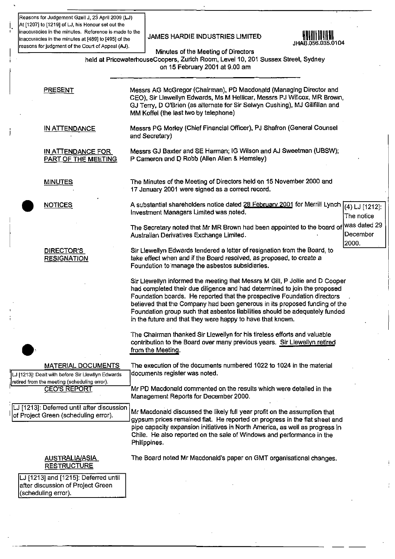**Reasons for Judgement Gzel1 J, 23** April 2009 **(LJ) i. At [12071 to [1219] of LJ, his Honour set out the** , **inaccuracies in the minutes. Reference is made to the inaccuracies in the minutes.** Neletence is made to the <br>inaccuracies in the minutes at [489] to [495] of the **JAMES HARDIE INDUSTRIES LIMITED** 114R 056.035.0104 reasons for judgment of the Court of Appeal (AJ).



I I

Minutes of the Meeting of Directors

held at PricewaterhouseCoopers, Zurich Room, Level 10, 201 Sussex Street, Sydney on 15 February 2001 at 9.00 am

PRESENT

MINUTES

**NOTICES** 

DIRECTOR'S **RESIGNATION** 

IN ATTENDANCE

IN ATTENDANCE FOR PART OF THE MEETING CEO), Sir L1ewellyn Edwards, Ms M Hellicar, Messrs PJ Willcox, MR Brown, GJ Terry, D O'Brien (as alternate for Sir Selwyn Cushing), MJ Gillfillan and MM Koffel (the last two by telephone) Messrs PG Morley (Chief Financial Officer), PJ Shafron (General Counsel and Secretary) Messrs GJ Baxter and SE Harman; IG Wilson and AJ Sweetman (UBSW); P Cameron and D Robb (Allen Allen & Hemsley) The Minutes of the Meeting of Directors held on 15 November 2000 and 17 January 2001 were signed as a correct record . A substantial shareholders notice dated 28 February 2001 for Merrill Lynch  $\boxed{(4)$  LJ  $\boxed{1212}$ : Investment Managers Limited was noted. The managers of the notice

Messrs AG McGregor (Chairman), PD Macdonald (Managing Director and

The Secretary noted that Mr MR Brown had been appointed to the board of <sup>was dated 29</sup><br>Australian Derivatives Exchange Limited Australian Derivatives Exchange Limited. 2000.

Sir Uewellyn Edwards tendered a letter of resignation from the Board, to take effect when and if the Board resolved, as proposed, to create a Foundation to 'manage the asbestos subsidiaries.

Sir Llewellyn informed the meeting that Messrs M Gill, P Jollie and D Cooper had completed their due diligence and had detennined to join the proposed Foundation boards. He reported that the prospective Foundation directors believed that the Company had been generous in its proposed funding of the Foundation group such that asbestos liabilities should be adequately funded in the future and that they were happy to have that known.

The Chairman thanked Sir Uewellyn for his tireless efforts and valuable contribution to the Board over many previous years. Sir Llewellyn retired from the Meeting.

LJ [1213]: Dealt with before Sir Llewllyn Edwards : **retired from the meeting (scheduling error). CEO'S REPORT** 

. LJ [1213]: Deferred until after discussion of Project Green (scheduling error).

MATERIAL DOCUMENTS The execution of the documents numbered 1022 to 1024 in the material<br>alt with before Sir Hewllyn Edwards documents register was noted.

Mr PD Macdonald commented on the results which were detailed in the Management Reports for December 2000 .

Mr Macdonald discussed the likely full year profit on the assumption that gypsum prices remained fiat. He reported on progress in the fiat sheet and pipe capacity expansion initiatives in North America, as well as progress in Chile. He also reported on the sale of Windows and performance in the Philippines.

The Board noted Mr Macdonald's paper on GMT organisational changes.

#### AUSTRALIA/ASIA **RESTRUCTURE**

LJ [1213] and [1215]: Deferred until after discussion of Project Green (scheduling error).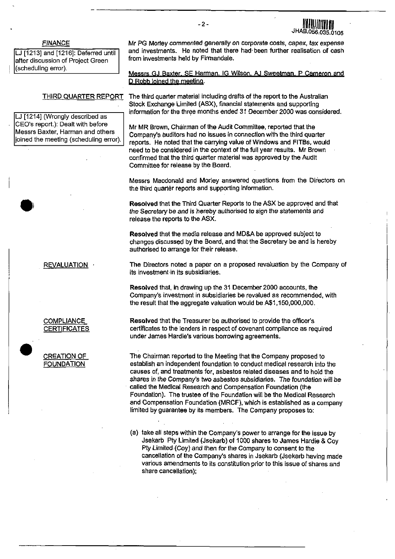#### FINANCE

LJ [1213] and [1216]: Deferred until after discussion of Project Green (scheduling error).

#### THIRD QUARTER REPORT

LJ [1214] (Wrongly described as CEO's report.): Dealt with before Messrs Baxter, Harman and others joined the meeting (scheduling error). Mr PG Morley commented generally on corporate costs, capex, tax expense and investments. He noted that there had· been further realisation of cash from investments held by Firmandale.

.<br>¤∆ا

**56.035.0105** 

**Messrs GJ Baxter, SE Harman, IG Wilson, AJ Sweetman. P Cameron and D Robb joined the meeting.** 

The third quarter material including drafts of the report to the Australian Stock Exchange Limiled (ASX), financial statements and supporting information for the three months ended 31 December 2000 was considered.

Mr MR Brown, Chairman of the Audit Committee, reported that the Company's auditors had no issues in connection with the third quarter reports. He noted that the carrying value of Windows and FITBs, would need to be considered in the context of the full year results. Mr Brown confirmed that the third quarter material was approved by the Audit Committee for release by the Board.

Messrs Macdonald and Morley answered questions from the Directors on the third quarter reports and supporting information.

Resolved that the Third Quarter Reports to the ASX be approved and that the Secretary be and is hereby authorised to sign the statements and release the reports to the ASX.

Resolved that the media release and MD&A be approved subject to changes discussed by the Board, and that the Secretary be and is hereby authorised to arrange for their release.

REVALUATION .

**COMPLIANCE CERTIFICATES** 

 $\bullet$   $\frac{c}{E}$ CREATION OF **FOUNDATION** 

The Directors noted a paper on a proposed revaluation by the Company of its investment·in its subsidiaries.

Resolved that, in drawing up the 31 December 2000 accounts, the Company's investment in subsidiaries be revalued as recommended, with the result that the aggregate valuation would be A\$1, 150,000,000.

Resolved that the Treasurer be authorised to provide the officer's certificates to the lenders in respect of covenant compliance as required under James Hardie's various borrowing agreements .

The Chairman reported to the Meeting that the Company proposed to establish an independent foundation to conduct medical research into the causes of, and treatments for, asbestos related diseases and to hold the shares in the Company's two asbestos subsidiaries. The foundation will be called the Medical Research and Compensation Foundation (the Foundation). The trustee of the Foundation will be the Medical Research and Compensation Foundation (MRCF), which is established as a company limited by guarantee by its members. The Company proposes to:

(a) take all steps within the Company's power to arrange for the issue by Jsekarb: Pty Limited (Jsekarb) of 1000 shares to James Hardie & Coy Pty Limited (Coy) and then for the Company to consent to the cancellation of the Company's shares in Jsekarb (Jsekarb having made various amendments to its constitution prior to this issue of shares and share cancellation);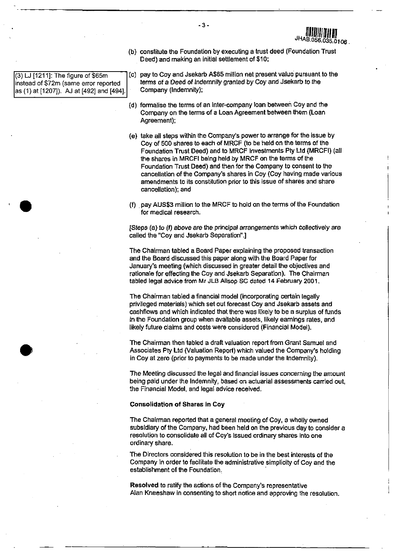(3) LJ [1211]: The figure of \$65m instead of \$72m (same error reported as (1) at [1207]). AJ at [492] and [494].

•

•

Deed) and making an initial settlement of \$10; (c) pay to Coy and Jsekarb A\$65 million net present value pursuant to the

(b) constitute the Foundation by executing a trust deed (Foundation Trust

 $5.01 \text{ or }$ 

- terms of a Deed of Indemnity granted by Coy and Jsekarb to Ihe Company (Indemnity);
- (d) formalise the terms of an inter-company loan between Coy and the Company on the terms of a Loan Agreement between them (Loan Agreement);
- (e) take all sleps within the Company's power 10 arrange for the issue by Coy of 500 shares to each of MRCF (10 be held on the terms of the Foundation Trust Deed) and to MRCF Investments pty Lld (MRCFI) (all the shares in MRCFI being held by MRCF on the terms of Ihe Foundation Trust Deed) and then for the Company to consent to the cancellation of the Company's shares in Coy (Coy having made various amendments to its constitution prior to this issue of shares and share cancellation); and
- (I) pay AUS\$3 million to the MRCF to hold on the terms of the Foundation for medical research.

ISteps (a) to (f) above are the principal arrangements which collectively are called the "Coy and Jsekarb Separation".]

The Chairman tabled a Board Paper explaining the proposed transaction and the Board discussed this paper along with the Board Paper for January's meeting (which discussed in greater detail the objectives and rationale for effecting the Coy and Jsekarb Separation). The Chairman tabled legal advice from Mr JLB Allsop SC dated 14 February 2001.

The Chairman tabled a financial model (incorporating certain legally privileged materials) which set out forecast Coy and Jsekarb assets and cashflows and which indicated that there was likely 10 be a surplus of funds in the Foundation group when available assets, likely eamings rates, and likely future claims and costs were considered (Financial MOdel).

The Chairman then tabled a draft valuation report from Grant Samuel and Associates Pty Ltd (Valuation Report) which valued the Company's holding in Coy at zero (prior to payments to be made under the Indemnity).

The Meeting discussed the legal and financial issues concerning Ihe amount being paid under the Indemnity, based on actuarial assessments carried out, the Financial Model, and legal advice received.

#### Consolidation of Shares in Coy

The Chairman reported that a general meeting of Coy, a wholly owned subsidiary of the Company, had been held on the previous day to consider a resolution to consolidate all of Coy's issued ordinary shares Into one ordinary share.

The Directors considered this resolution to be in the best interests of the Company in order 10 facilitate the administrative simplicity of Coy and the establishment of the Foundation.

Resolved to ratity the actions of the Company's representative Alan Kneeshaw in consenting to short notice and approving the resolution.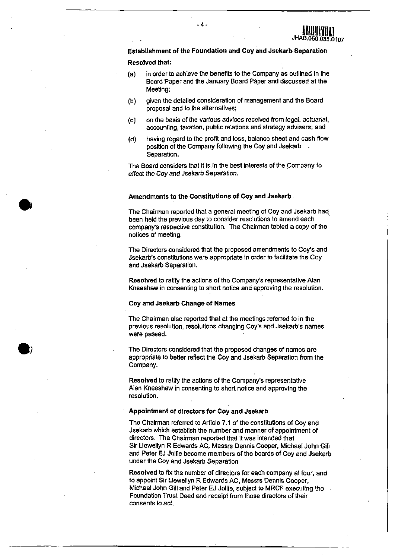

Establishment of the Foundation and Coy and Jsekarb Separation

-4-

#### Resolved that:

•

- (a) in order to achieve the benefits to the Company as outlined in the Board Paper and the January Board Paper and discussed at the Meeting;
- (b) given the detailed consideration of management and the Board proposal and to the alternatives;
- (c) on the basis of the various advices received from legal, actuarial, accounting, taxation, public relations and strategy advisers; and
- (d) having regard to lhe profit and loss, balance sheet and cash flow position of the Company following the Coy and Jsekarb . Separation,

The Board considers that it is in the best interests of the company to effect the Coy and Jsekarb Separation.

#### Amendments to the Constitutions of Coy and Jsekarb

The Chairman reported that a general meeting of Coy and Jsekarb had been held the previous day to consider resolutions to amend each company's respective constitution. The Chairman tabled a copy of the notices of meeting.

The Directors considered that the proposed amendments to Coy's and Jsekarb's constitutions were appropriate in order to facilitate the Coy and Jsekarb Separation.

Resolved to ratify the actions of the Company's representative Alan Kneeshaw in consenting to short notice and approving the resolution.

#### Coy and Jsekarb Change of Names

The Chairman also reported that at the meetings referred to in the previous resolution, resolutions changing Coy's and Jsekarb's names were passed.

The Directors considered that the proposed changes of names are appropriate to better reflect the Coy and Jsekarb Separation from the Company.

Resolved to ratify the actions of the Company's representative Alan Kneeshaw in consenting to short notice and approving the resolution.

#### Appointment of directors for Coy and Jsekarb

The Chairman referred to Article 7.1 of the constitutions of Coy and Jsekarb which establish the number and manner of appointment of directors. The Chairman reported that it was intended that Sir Llewellyn R Edwards AC, Messrs Dennis Cooper, Michael John Gill and Peter EJ Jallie become members of the boards of Coy and Jsekarb under the Coy and Jsekarb Separation

Resolved to fix the number of directors for each company at four, and to appoint Sir Llewellyn R Edwards AC, Messrs Dennis Cooper, Michael John Gill and Peter EJ JOllie, subject to MRCF executing the Foundation Trust Deed and receipt from those directors of their consents to act.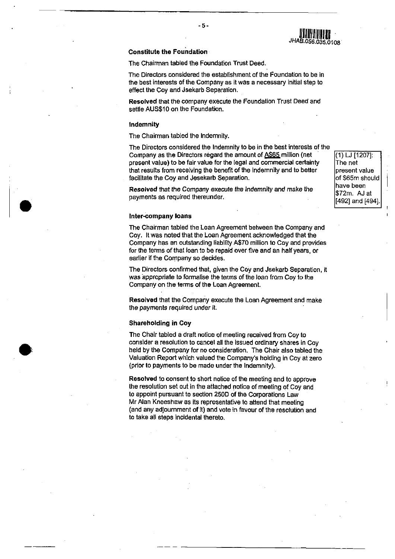### Constitute the Foundation

The Chairman tabled the Foundation Trust Deed.

The Directors considered the establishment of the Foundation to be in the best interests of the Company as it was a necessary initial step to effect the Coy and Jsekarb Separation.

Resolved that the company execute the Foundation Trust Deed and settle AUS\$10 on the Foundation.

#### Indemnity

•

•

The Chairman tabled the Indemnity.

The Directors considered the Indemnity to be in the best interests of the<br>Company as the Directors regard the amount of  $\underline{\text{AS65}}$  million (net [(1) LJ [1207]: Company as the Directors regard the amount of A\$65 million (netpresent value) to be fair value for the legal and commercial certainty  $\Box$  The net that results from receiving the benefit of the Indemnity and to better present value facilitate the Coy and Jesekarb Separation.<br>
That is a strong of \$65m should

**Resolved that the Company execute the Indemnity and make the**  $\frac{1}{\$72m}$ **.** AJ at payments as required thereunder.<br>[492] and [494] ...

#### Inter-company loans

The Chairman tabled the Loan Agreement between the Company and Coy. It was noted that the Loan Agreement acknowledged that the Company has an outstanding liability A\$70 million to Coy and provides for the terms of that loan to be repaid over five and an half years, or earlier if the Company so decides.

The Directors confirmed that, given the Coy and Jsekarb Separation, it was appropriate to formalise the terms of the loan from Coy to the Company on the terms of the Loan Agreement.

Resolved that the Company execute the Loan Agreement and make the payments required under it.

#### Shareholding in Coy

The Chair tabled a draft notice of meeting received from Coy to consider a resolution to cancel all the issued ordinary shares in Coy held by the Company for no consideration. The Chair also tabled the Valuation Report which valued the Company's holding in Coy at zero (prior to payments to be made under the Indemnity).

Resolved to consent to short notice of the meeting and to approve the resolution set out in the attached notice of meeting of Coy and to appoint pursuant to section 2500 of the Corporations Law Mr Alan Kneeshaw as its representative to attend that meeting (and any adjoumment of it) and vote in favour of the resolution and to take all steps incidental thereto.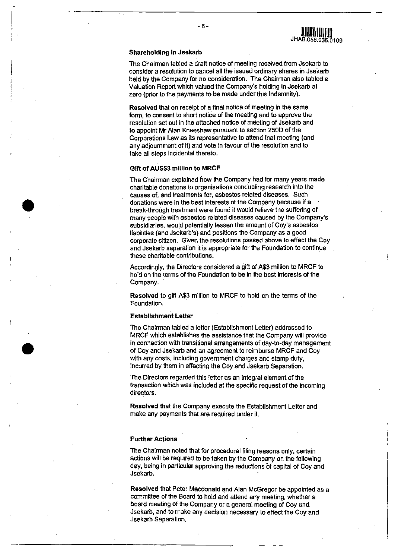The Chairman tabled a draft notice of meeting received from Jsekarb to consider a resolution to cancel all the issued ordinary shares in Jsekarb held by the Company for no consideration. The Chairman also tabled a Valuation Report which valued the Company's holding in Jsekarb at zero (prior to the payments to be made under this Indemnity).

**ULLU II ALLU III AD**<br>JHAB.056.035.0109

Resolved that on receipt of a final notice of meeting in the same form, to consent to short notice of the meeting and to approve the resolution set out in the attached notice of meeting of Jsekarb and to appoint Mr Alan Kneeshaw pursuant to section 2500 of the Corporations Law as its representative to attend that meeting (and any adjoumment of it) and vote in favour of the resolution and to take all steps incidental thereto.

#### Gift of AUS\$3 million to MRCF

•

•

The Chairman explained now the Company had for many years made charitable donations to organisations conducting research into the causes of, and treatments for, asbestos related diseases. Such donations were in the best interests of the Company because if a break-through treatment were found it would relieve the suffering of many people with asbestos related diseases caused by the Company's subsidiaries, would potentially lessen the amount of Coy's asbestos liabilities (and Jsekarb's) and positions the Company as a good corporate citizen. Given the resolutions passed above to effect the Coy and Jsekarb separation it is appropriate for the Foundation to continue these charitable contributions.

Accordingly, the Directors considered a gift of A\$3 million to MRCF to hold on the terms of the Foundation to be in the best interests of the Company.

Resolved to gift A\$3 million to MRCF to hold on the terms of the Foundation.

#### Establishment Letter

The Chairman tabled a letter (Establishment Letter) addressed to MRCF which establishes the assistance that the Company will provide in connection with transitional arrangements of day-ta-day management of Coy and Jsekarb and an agreement to reimburse MRCF and Coy with any costs, including government charges and stamp duty, incurred by them in effecting the Coy and Jsekarb Separation.

The Directors regarded this letter as an integral element of the transaction which was included at the specific request of the incoming directors.

Resolved that the Company execute the Establishment Letter and make any payments that are required under it.

#### Further Actions

The Chairman noted that for procedural filing reasons only, certain actions will be required to be taken by the Company on the following day, being in particular approving the reductions of capital of Coy and Jsekarb.

Resolved that Peter Macdonald and Alan McGregor be appointed as a committee of the Board to hold and attend any meeting, whether a board meeting of the Company or a general meeting of Coy and. Jsekarb, and to make any decision necessary to effect the Coy and Jsekarb Separation.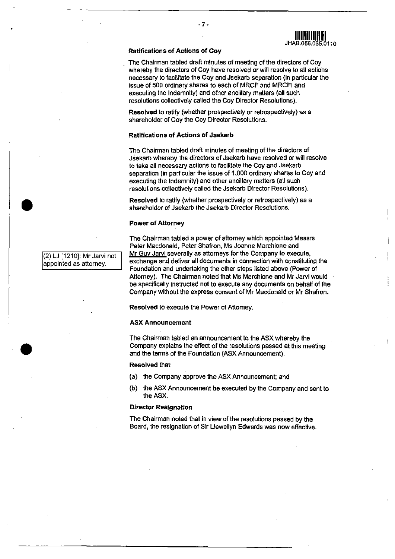#### Ratificatlons of Actions of Coy

- 7·

The Chairman tabled draft minutes of meeting of the directors of Coy whereby the directors of Coy have resolved or will resolve to all actions necessary to facilitate the Coy and Jsekarb separation (in particular the issue of 500 ordinary shares to each of MRCF and MRCFI and executing the Indemnity) and other ancillary matters (all such resolutions collectively called the Coy Director Resolutions).

Resolved to ratify (whether prospectively or retrospectively) as a shareholder of Coy the Coy Director Resolutions.

#### Ratlfications of Actions of Jsekarb

The Chairman tabled draft minutes of meeting of the directors of Jsekarb whereby the directors of Jsekarb have resolved or will resolve to take all necessary actions to facilitate the Coy and Jsekaro separation (in particular the issue of 1,000 ordinary shares to Coy and executing the Indemnity) and other ancillary matters (all such resolutions collectively called the Jsekarb Director Resolutions).

Resolved to ratify (whether prospectively or retrospectively) as a shareholder of Jsekarb Ihe Jsekarb Director Resolutions.

#### Power of Attorney

The Chairman tabled a power of attorney which appointed Messrs Peler Macdonald, Peter Shafron, Ms Joanne Marchione and Mr Guy Jarvi severally as attorneys for the Company to execute, exchange and deliver all documents in connection with constituting the Foundation and undertaking the other steps listed above (Power of Attorney). The Chairman noted that Ms Marchione and Mr Jarvi would be specifically instructed not to execute any documents on behalf of the Company without the express consent of Mr Macdonald or Mr Shafron.

Resolved to execute the Power of Attorney.

#### ASX Announcement

The Chairman tabled an announcement to the ASX whereby the Company explains the effect of the resolutions passed at this meeting and the tenms of the Foundation (ASX Announcement).

#### Resolved that:

- (a) the Company approve the ASX Announcement; and
- (b) the ASX Announcement be executed by the Company and sent to the ASX.

### Director ReSignation

The Chairman noted that in view of the resolutions passed by the Board, the resignation of Sir Llewellyn Edwards was now effective.

(2) LJ [1210]: Mr Jarvi not appointed as attorney.

•

•